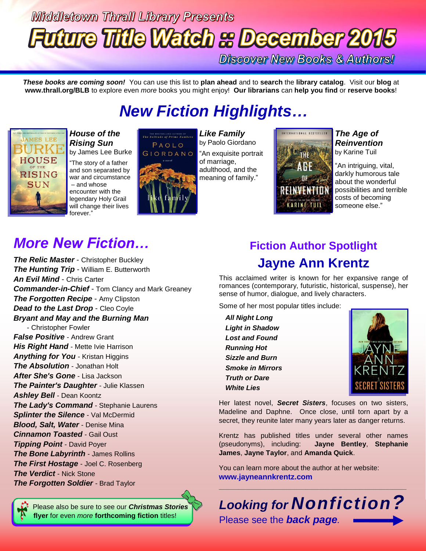# **Middletown Thrall Library Presents Future Title Watch & December 2015**

**Discover New Books & Authors!** 

*These books are coming soon!* You can use this list to **plan ahead** and to **search** the **library catalog**. Visit our **blog** at **www.thrall.org/BLB** to explore even *more* books you might enjoy! **Our librarians** can **help you find** or **reserve books**!

## *New Fiction Highlights…*



### *House of the Rising Sun* by James Lee Burke

"The story of a father and son separated by war and circumstance – and whose encounter with the legendary Holy Grail will change their lives forever."



*Like Family* by Paolo Giordano "An exquisite portrait of marriage, adulthood, and the meaning of family."



#### *The Age of Reinvention* by Karine Tuil

"An intriguing, vital, darkly humorous tale about the wonderful possibilities and terrible costs of becoming someone else."

## *More New Fiction…*

*The Relic Master* - Christopher Buckley *The Hunting Trip* - William E. Butterworth *An Evil Mind* - Chris Carter *Commander-in-Chief* - Tom Clancy and Mark Greaney *The Forgotten Recipe* - Amy Clipston *Dead to the Last Drop - Cleo Coyle Bryant and May and the Burning Man* - Christopher Fowler *False Positive* - Andrew Grant *His Right Hand* - Mette Ivie Harrison

*Anything for You* - Kristan Higgins *The Absolution* - Jonathan Holt *After She's Gone* - Lisa Jackson *The Painter's Daughter* - Julie Klassen *Ashley Bell* - Dean Koontz *The Lady's Command* - Stephanie Laurens **Splinter the Silence** - Val McDermid *Blood, Salt, Water* - Denise Mina *Cinnamon Toasted* - Gail Oust *Tipping Point* - David Poyer *The Bone Labyrinth* - James Rollins *The First Hostage* - Joel C. Rosenberg *The Verdict* - Nick Stone *The Forgotten Soldier* - Brad Taylor

 Please also be sure to see our *Christmas Stories* **flyer** for even *more* **forthcoming fiction** titles!

### **Fiction Author Spotlight Jayne Ann Krentz**

This acclaimed writer is known for her expansive range of romances (contemporary, futuristic, historical, suspense), her sense of humor, dialogue, and lively characters.

Some of her most popular titles include:

*All Night Long Light in Shadow Lost and Found Running Hot Sizzle and Burn Smoke in Mirrors Truth or Dare White Lies*



Her latest novel, *Secret Sisters*, focuses on two sisters, Madeline and Daphne. Once close, until torn apart by a secret, they reunite later many years later as danger returns.

Krentz has published titles under several other names (pseudonyms), including: **Jayne Bentley**, **Stephanie James**, **Jayne Taylor**, and **Amanda Quick**.

You can learn more about the author at her website: **[www.jayneannkrentz.com](http://www.jayneannkrentz.com/)**



 $\_$  , and the set of the set of the set of the set of the set of the set of the set of the set of the set of the set of the set of the set of the set of the set of the set of the set of the set of the set of the set of th